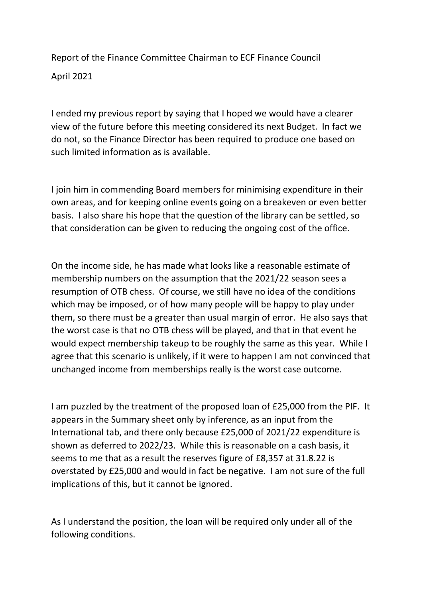Report of the Finance Committee Chairman to ECF Finance Council April 2021

I ended my previous report by saying that I hoped we would have a clearer view of the future before this meeting considered its next Budget. In fact we do not, so the Finance Director has been required to produce one based on such limited information as is available.

I join him in commending Board members for minimising expenditure in their own areas, and for keeping online events going on a breakeven or even better basis. I also share his hope that the question of the library can be settled, so that consideration can be given to reducing the ongoing cost of the office.

On the income side, he has made what looks like a reasonable estimate of membership numbers on the assumption that the 2021/22 season sees a resumption of OTB chess. Of course, we still have no idea of the conditions which may be imposed, or of how many people will be happy to play under them, so there must be a greater than usual margin of error. He also says that the worst case is that no OTB chess will be played, and that in that event he would expect membership takeup to be roughly the same as this year. While I agree that this scenario is unlikely, if it were to happen I am not convinced that unchanged income from memberships really is the worst case outcome.

I am puzzled by the treatment of the proposed loan of £25,000 from the PIF. It appears in the Summary sheet only by inference, as an input from the International tab, and there only because £25,000 of 2021/22 expenditure is shown as deferred to 2022/23. While this is reasonable on a cash basis, it seems to me that as a result the reserves figure of £8,357 at 31.8.22 is overstated by £25,000 and would in fact be negative. I am not sure of the full implications of this, but it cannot be ignored.

As I understand the position, the loan will be required only under all of the following conditions.